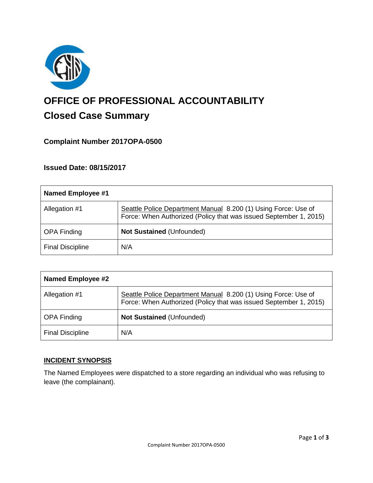

# **OFFICE OF PROFESSIONAL ACCOUNTABILITY Closed Case Summary**

## **Complaint Number 2017OPA-0500**

### **Issued Date: 08/15/2017**

| Named Employee #1       |                                                                                                                                     |
|-------------------------|-------------------------------------------------------------------------------------------------------------------------------------|
| Allegation #1           | Seattle Police Department Manual 8.200 (1) Using Force: Use of<br>Force: When Authorized (Policy that was issued September 1, 2015) |
| <b>OPA Finding</b>      | <b>Not Sustained (Unfounded)</b>                                                                                                    |
| <b>Final Discipline</b> | N/A                                                                                                                                 |

| <b>Named Employee #2</b> |                                                                                                                                     |
|--------------------------|-------------------------------------------------------------------------------------------------------------------------------------|
| Allegation #1            | Seattle Police Department Manual 8.200 (1) Using Force: Use of<br>Force: When Authorized (Policy that was issued September 1, 2015) |
| <b>OPA Finding</b>       | Not Sustained (Unfounded)                                                                                                           |
| <b>Final Discipline</b>  | N/A                                                                                                                                 |

### **INCIDENT SYNOPSIS**

The Named Employees were dispatched to a store regarding an individual who was refusing to leave (the complainant).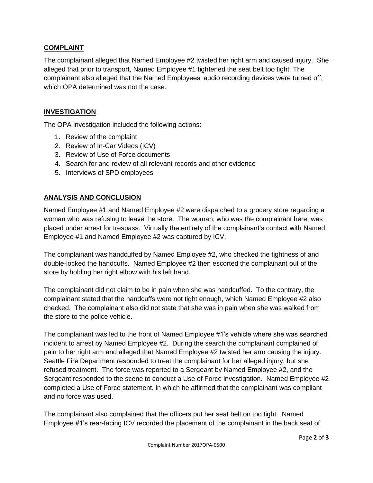#### **COMPLAINT**

The complainant alleged that Named Employee #2 twisted her right arm and caused injury. She alleged that prior to transport, Named Employee #1 tightened the seat belt too tight. The complainant also alleged that the Named Employees' audio recording devices were turned off, which OPA determined was not the case.

#### **INVESTIGATION**

The OPA investigation included the following actions:

- 1. Review of the complaint
- 2. Review of In-Car Videos (ICV)
- 3. Review of Use of Force documents
- 4. Search for and review of all relevant records and other evidence
- 5. Interviews of SPD employees

#### **ANALYSIS AND CONCLUSION**

Named Employee #1 and Named Employee #2 were dispatched to a grocery store regarding a woman who was refusing to leave the store. The woman, who was the complainant here, was placed under arrest for trespass. Virtually the entirety of the complainant's contact with Named Employee #1 and Named Employee #2 was captured by ICV.

The complainant was handcuffed by Named Employee #2, who checked the tightness of and double-locked the handcuffs. Named Employee #2 then escorted the complainant out of the store by holding her right elbow with his left hand.

The complainant did not claim to be in pain when she was handcuffed. To the contrary, the complainant stated that the handcuffs were not tight enough, which Named Employee #2 also checked. The complainant also did not state that she was in pain when she was walked from the store to the police vehicle.

The complainant was led to the front of Named Employee #1's vehicle where she was searched incident to arrest by Named Employee #2. During the search the complainant complained of pain to her right arm and alleged that Named Employee #2 twisted her arm causing the injury. Seattle Fire Department responded to treat the complainant for her alleged injury, but she refused treatment. The force was reported to a Sergeant by Named Employee #2, and the Sergeant responded to the scene to conduct a Use of Force investigation. Named Employee #2 completed a Use of Force statement, in which he affirmed that the complainant was compliant and no force was used.

The complainant also complained that the officers put her seat belt on too tight. Named Employee #1's rear-facing ICV recorded the placement of the complainant in the back seat of